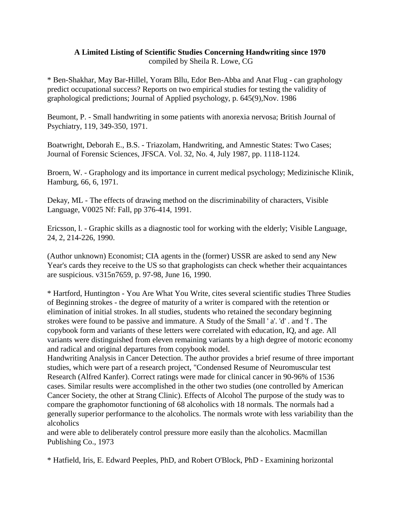## **A Limited Listing of Scientific Studies Concerning Handwriting since 1970**  compiled by Sheila R. Lowe, CG

\* Ben-Shakhar, May Bar-Hillel, Yoram Bllu, Edor Ben-Abba and Anat Flug - can graphology predict occupational success? Reports on two empirical studies for testing the validity of graphological predictions; Journal of Applied psychology, p. 645(9),Nov. 1986

Beumont, P. - Small handwriting in some patients with anorexia nervosa; British Journal of Psychiatry, 119, 349-350, 1971.

Boatwright, Deborah E., B.S. - Triazolam, Handwriting, and Amnestic States: Two Cases; Journal of Forensic Sciences, JFSCA. Vol. 32, No. 4, July 1987, pp. 1118-1124.

Broern, W. - Graphology and its importance in current medical psychology; Medizinische Klinik, Hamburg, 66, 6, 1971.

Dekay, ML - The effects of drawing method on the discriminability of characters, Visible Language, V0025 Nf: Fall, pp 376-414, 1991.

Ericsson, l. - Graphic skills as a diagnostic tool for working with the elderly; Visible Language, 24, 2, 214-226, 1990.

(Author unknown) Economist; CIA agents in the (former) USSR are asked to send any New Year's cards they receive to the US so that graphologists can check whether their acquaintances are suspicious. v315n7659, p. 97-98, June 16, 1990.

\* Hartford, Huntington - You Are What You Write, cites several scientific studies Three Studies of Beginning strokes - the degree of maturity of a writer is compared with the retention or elimination of initial strokes. In all studies, students who retained the secondary beginning strokes were found to be passive and immature. A Study of the Small ' a'. 'd' . and 'f . The copybook form and variants of these letters were correlated with education, IQ, and age. All variants were distinguished from eleven remaining variants by a high degree of motoric economy and radical and original departures from copybook model.

Handwriting Analysis in Cancer Detection. The author provides a brief resume of three important studies, which were part of a research project, "Condensed Resume of Neuromuscular test Research (Alfred Kanfer). Correct ratings were made for clinical cancer in 90-96% of 1536 cases. Similar results were accomplished in the other two studies (one controlled by American Cancer Society, the other at Strang Clinic). Effects of Alcohol The purpose of the study was to compare the graphomotor functioning of 68 alcoholics with 18 normals. The normals had a generally superior performance to the alcoholics. The normals wrote with less variability than the alcoholics

and were able to deliberately control pressure more easily than the alcoholics. Macmillan Publishing Co., 1973

\* Hatfield, Iris, E. Edward Peeples, PhD, and Robert O'Block, PhD - Examining horizontal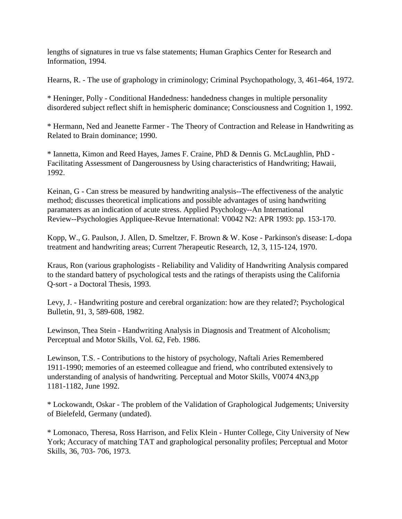lengths of signatures in true vs false statements; Human Graphics Center for Research and Information, 1994.

Hearns, R. - The use of graphology in criminology; Criminal Psychopathology, 3, 461-464, 1972.

\* Heninger, Polly - Conditional Handedness: handedness changes in multiple personality disordered subject reflect shift in hemispheric dominance; Consciousness and Cognition 1, 1992.

\* Hermann, Ned and Jeanette Farmer - The Theory of Contraction and Release in Handwriting as Related to Brain dominance; 1990.

\* Iannetta, Kimon and Reed Hayes, James F. Craine, PhD & Dennis G. McLaughlin, PhD - Facilitating Assessment of Dangerousness by Using characteristics of Handwriting; Hawaii, 1992.

Keinan, G - Can stress be measured by handwriting analysis--The effectiveness of the analytic method; discusses theoretical implications and possible advantages of using handwriting paramaters as an indication of acute stress. Applied Psychology--An International Review--Psychologies Appliquee-Revue International: V0042 N2: APR 1993: pp. 153-170.

Kopp, W., G. Paulson, J. Allen, D. Smeltzer, F. Brown & W. Kose - Parkinson's disease: L-dopa treatment and handwriting areas; Current 7herapeutic Research, 12, 3, 115-124, 1970.

Kraus, Ron (various graphologists - Reliability and Validity of Handwriting Analysis compared to the standard battery of psychological tests and the ratings of therapists using the California Q-sort - a Doctoral Thesis, 1993.

Levy, J. - Handwriting posture and cerebral organization: how are they related?; Psychological Bulletin, 91, 3, 589-608, 1982.

Lewinson, Thea Stein - Handwriting Analysis in Diagnosis and Treatment of Alcoholism; Perceptual and Motor Skills, Vol. 62, Feb. 1986.

Lewinson, T.S. - Contributions to the history of psychology, Naftali Aries Remembered 1911-1990; memories of an esteemed colleague and friend, who contributed extensively to understanding of analysis of handwriting. Perceptual and Motor Skills, V0074 4N3,pp 1181-1182, June 1992.

\* Lockowandt, Oskar - The problem of the Validation of Graphological Judgements; University of Bielefeld, Germany (undated).

\* Lomonaco, Theresa, Ross Harrison, and Felix Klein - Hunter College, City University of New York; Accuracy of matching TAT and graphological personality profiles; Perceptual and Motor Skills, 36, 703- 706, 1973.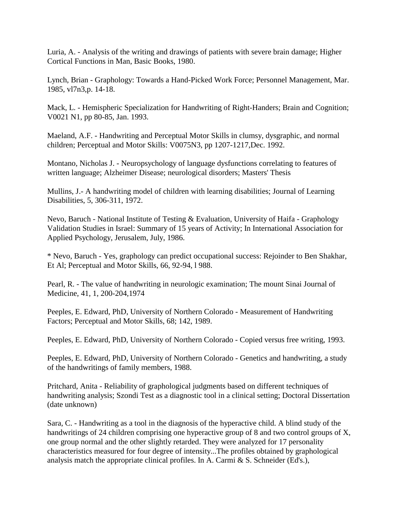Luria, A. - Analysis of the writing and drawings of patients with severe brain damage; Higher Cortical Functions in Man, Basic Books, 1980.

Lynch, Brian - Graphology: Towards a Hand-Picked Work Force; Personnel Management, Mar. 1985, vl7n3,p. 14-18.

Mack, L. - Hemispheric Specialization for Handwriting of Right-Handers; Brain and Cognition; V0021 N1, pp 80-85, Jan. 1993.

Maeland, A.F. - Handwriting and Perceptual Motor Skills in clumsy, dysgraphic, and normal children; Perceptual and Motor Skills: V0075N3, pp 1207-1217,Dec. 1992.

Montano, Nicholas J. - Neuropsychology of language dysfunctions correlating to features of written language; Alzheimer Disease; neurological disorders; Masters' Thesis

Mullins, J.- A handwriting model of children with learning disabilities; Journal of Learning Disabilities, 5, 306-311, 1972.

Nevo, Baruch - National Institute of Testing & Evaluation, University of Haifa - Graphology Validation Studies in Israel: Summary of 15 years of Activity; In International Association for Applied Psychology, Jerusalem, July, 1986.

\* Nevo, Baruch - Yes, graphology can predict occupational success: Rejoinder to Ben Shakhar, Et Al; Perceptual and Motor Skills, 66, 92-94, l 988.

Pearl, R. - The value of handwriting in neurologic examination; The mount Sinai Journal of Medicine, 41, 1, 200-204,1974

Peeples, E. Edward, PhD, University of Northern Colorado - Measurement of Handwriting Factors; Perceptual and Motor Skills, 68; 142, 1989.

Peeples, E. Edward, PhD, University of Northern Colorado - Copied versus free writing, 1993.

Peeples, E. Edward, PhD, University of Northern Colorado - Genetics and handwriting, a study of the handwritings of family members, 1988.

Pritchard, Anita - Reliability of graphological judgments based on different techniques of handwriting analysis; Szondi Test as a diagnostic tool in a clinical setting; Doctoral Dissertation (date unknown)

Sara, C. - Handwriting as a tool in the diagnosis of the hyperactive child. A blind study of the handwritings of 24 children comprising one hyperactive group of 8 and two control groups of X, one group normal and the other slightly retarded. They were analyzed for 17 personality characteristics measured for four degree of intensity...The profiles obtained by graphological analysis match the appropriate clinical profiles. In A. Carmi & S. Schneider (Ed's.),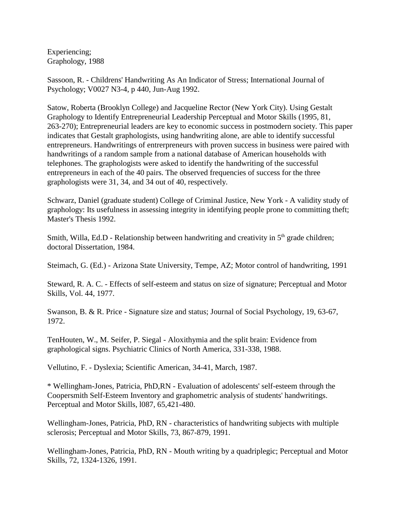Experiencing; Graphology, 1988

Sassoon, R. - Childrens' Handwriting As An Indicator of Stress; International Journal of Psychology; V0027 N3-4, p 440, Jun-Aug 1992.

Satow, Roberta (Brooklyn College) and Jacqueline Rector (New York City). Using Gestalt Graphology to Identify Entrepreneurial Leadership Perceptual and Motor Skills (1995, 81, 263-270); Entrepreneurial leaders are key to economic success in postmodern society. This paper indicates that Gestalt graphologists, using handwriting alone, are able to identify successful entrepreneurs. Handwritings of entrerpreneurs with proven success in business were paired with handwritings of a random sample from a national database of American households with telephones. The graphologists were asked to identify the handwriting of the successful entrepreneurs in each of the 40 pairs. The observed frequencies of success for the three graphologists were 31, 34, and 34 out of 40, respectively.

Schwarz, Daniel (graduate student) College of Criminal Justice, New York - A validity study of graphology: Its usefulness in assessing integrity in identifying people prone to committing theft; Master's Thesis 1992.

Smith, Willa, Ed.D - Relationship between handwriting and creativity in 5<sup>th</sup> grade children; doctoral Dissertation, 1984.

Steimach, G. (Ed.) - Arizona State University, Tempe, AZ; Motor control of handwriting, 1991

Steward, R. A. C. - Effects of self-esteem and status on size of signature; Perceptual and Motor Skills, Vol. 44, 1977.

Swanson, B. & R. Price - Signature size and status; Journal of Social Psychology, 19, 63-67, 1972.

TenHouten, W., M. Seifer, P. Siegal - Aloxithymia and the split brain: Evidence from graphological signs. Psychiatric Clinics of North America, 331-338, 1988.

Vellutino, F. - Dyslexia; Scientific American, 34-41, March, 1987.

\* Wellingham-Jones, Patricia, PhD,RN - Evaluation of adolescents' self-esteem through the Coopersmith Self-Esteem Inventory and graphometric analysis of students' handwritings. Perceptual and Motor Skills, l087, 65,421-480.

Wellingham-Jones, Patricia, PhD, RN - characteristics of handwriting subjects with multiple sclerosis; Perceptual and Motor Skills, 73, 867-879, 1991.

Wellingham-Jones, Patricia, PhD, RN - Mouth writing by a quadriplegic; Perceptual and Motor Skills, 72, 1324-1326, 1991.